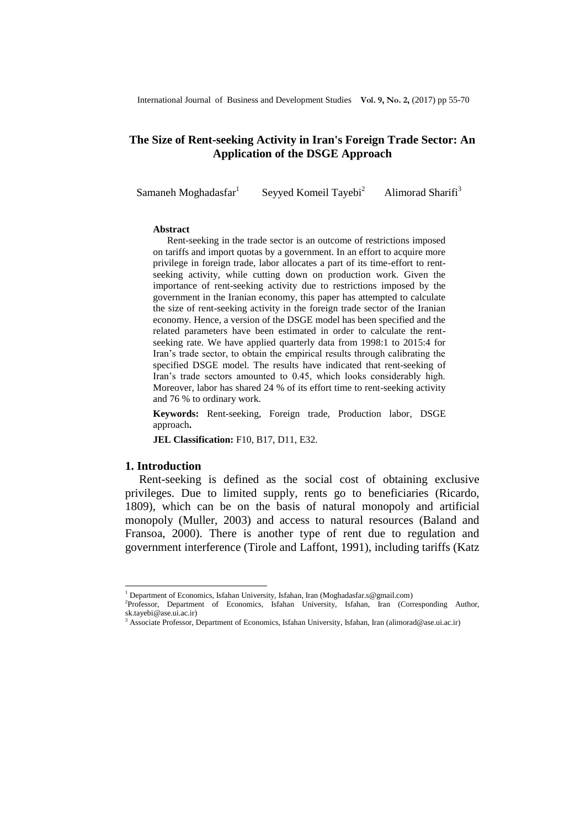# **The Size of Rent-seeking Activity in Iran's Foreign Trade Sector: An Application of the DSGE Approach**

Samaneh Moghadasfar $1$ 

Seyyed Komeil Tayebi<sup>2</sup>

Alimorad Sharifi<sup>3</sup>

#### **Abstract**

Rent-seeking in the trade sector is an outcome of restrictions imposed on tariffs and import quotas by a government. In an effort to acquire more privilege in foreign trade, labor allocates a part of its time-effort to rentseeking activity, while cutting down on production work. Given the importance of rent-seeking activity due to restrictions imposed by the government in the Iranian economy, this paper has attempted to calculate the size of rent-seeking activity in the foreign trade sector of the Iranian economy. Hence, a version of the DSGE model has been specified and the related parameters have been estimated in order to calculate the rentseeking rate. We have applied quarterly data from 1998:1 to 2015:4 for Iran's trade sector, to obtain the empirical results through calibrating the specified DSGE model. The results have indicated that rent-seeking of Iran's trade sectors amounted to 0.45, which looks considerably high. Moreover, labor has shared 24 % of its effort time to rent-seeking activity and 76 % to ordinary work.

**Keywords:** Rent-seeking, Foreign trade, Production labor, DSGE approach**.**

**JEL Classification:** F10, B17, D11, E32.

### **1. Introduction**

 $\overline{a}$ 

Rent-seeking is defined as the social cost of obtaining exclusive privileges. Due to limited supply, rents go to beneficiaries (Ricardo, 1809), which can be on the basis of natural monopoly and artificial monopoly (Muller, 2003) and access to natural resources (Baland and Fransoa, 2000). There is another type of rent due to regulation and government interference (Tirole and Laffont, 1991), including tariffs (Katz

 $^1$  Department of Economics, Isfahan University, Isfahan, Iran (Moghadasfar.s@gmail.com)

<sup>2</sup> Professor, Department of Economics, Isfahan University, Isfahan, Iran (Corresponding Author, sk.tayebi@ase.ui.ac.ir)

 $3$  Associate Professor, Department of Economics, Isfahan University, Isfahan, Iran (alimorad@ase.ui.ac.ir)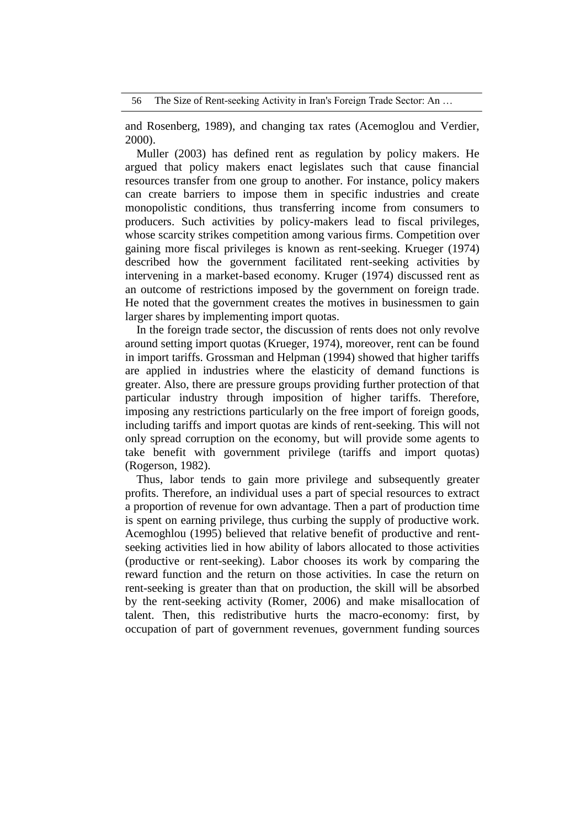and Rosenberg, 1989), and changing tax rates (Acemoglou and Verdier, 2000).

Muller (2003) has defined rent as regulation by policy makers. He argued that policy makers enact legislates such that cause financial resources transfer from one group to another. For instance, policy makers can create barriers to impose them in specific industries and create monopolistic conditions, thus transferring income from consumers to producers. Such activities by policy-makers lead to fiscal privileges, whose scarcity strikes competition among various firms. Competition over gaining more fiscal privileges is known as rent-seeking. Krueger (1974) described how the government facilitated rent-seeking activities by intervening in a market-based economy. Kruger (1974) discussed rent as an outcome of restrictions imposed by the government on foreign trade. He noted that the government creates the motives in businessmen to gain larger shares by implementing import quotas.

In the foreign trade sector, the discussion of rents does not only revolve around setting import quotas (Krueger, 1974), moreover, rent can be found in import tariffs. Grossman and Helpman (1994) showed that higher tariffs are applied in industries where the elasticity of demand functions is greater. Also, there are pressure groups providing further protection of that particular industry through imposition of higher tariffs. Therefore, imposing any restrictions particularly on the free import of foreign goods, including tariffs and import quotas are kinds of rent-seeking. This will not only spread corruption on the economy, but will provide some agents to take benefit with government privilege (tariffs and import quotas) (Rogerson, 1982).

Thus, labor tends to gain more privilege and subsequently greater profits. Therefore, an individual uses a part of special resources to extract a proportion of revenue for own advantage. Then a part of production time is spent on earning privilege, thus curbing the supply of productive work. Acemoghlou (1995) believed that relative benefit of productive and rentseeking activities lied in how ability of labors allocated to those activities (productive or rent-seeking). Labor chooses its work by comparing the reward function and the return on those activities. In case the return on rent-seeking is greater than that on production, the skill will be absorbed by the rent-seeking activity (Romer, 2006) and make misallocation of talent. Then, this redistributive hurts the macro-economy: first, by occupation of part of government revenues, government funding sources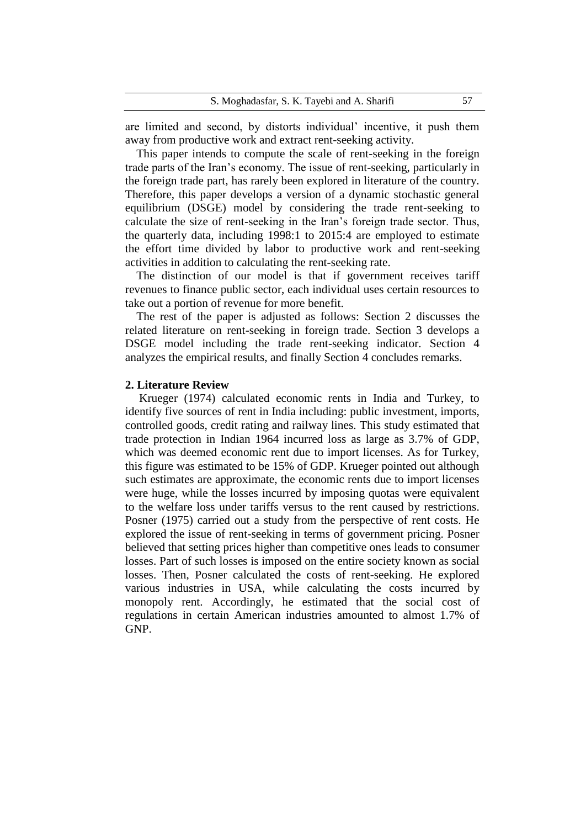are limited and second, by distorts individual' incentive, it push them away from productive work and extract rent-seeking activity.

This paper intends to compute the scale of rent-seeking in the foreign trade parts of the Iran's economy. The issue of rent-seeking, particularly in the foreign trade part, has rarely been explored in literature of the country. Therefore, this paper develops a version of a dynamic stochastic general equilibrium (DSGE) model by considering the trade rent-seeking to calculate the size of rent-seeking in the Iran's foreign trade sector. Thus, the quarterly data, including 1998:1 to 2015:4 are employed to estimate the effort time divided by labor to productive work and rent-seeking activities in addition to calculating the rent-seeking rate.

The distinction of our model is that if government receives tariff revenues to finance public sector, each individual uses certain resources to take out a portion of revenue for more benefit.

The rest of the paper is adjusted as follows: Section 2 discusses the related literature on rent-seeking in foreign trade. Section 3 develops a DSGE model including the trade rent-seeking indicator. Section 4 analyzes the empirical results, and finally Section 4 concludes remarks.

### **2. Literature Review**

Krueger (1974) calculated economic rents in India and Turkey, to identify five sources of rent in India including: public investment, imports, controlled goods, credit rating and railway lines. This study estimated that trade protection in Indian 1964 incurred loss as large as 3.7% of GDP, which was deemed economic rent due to import licenses. As for Turkey, this figure was estimated to be 15% of GDP. Krueger pointed out although such estimates are approximate, the economic rents due to import licenses were huge, while the losses incurred by imposing quotas were equivalent to the welfare loss under tariffs versus to the rent caused by restrictions. Posner (1975) carried out a study from the perspective of rent costs. He explored the issue of rent-seeking in terms of government pricing. Posner believed that setting prices higher than competitive ones leads to consumer losses. Part of such losses is imposed on the entire society known as social losses. Then, Posner calculated the costs of rent-seeking. He explored various industries in USA, while calculating the costs incurred by monopoly rent. Accordingly, he estimated that the social cost of regulations in certain American industries amounted to almost 1.7% of GNP.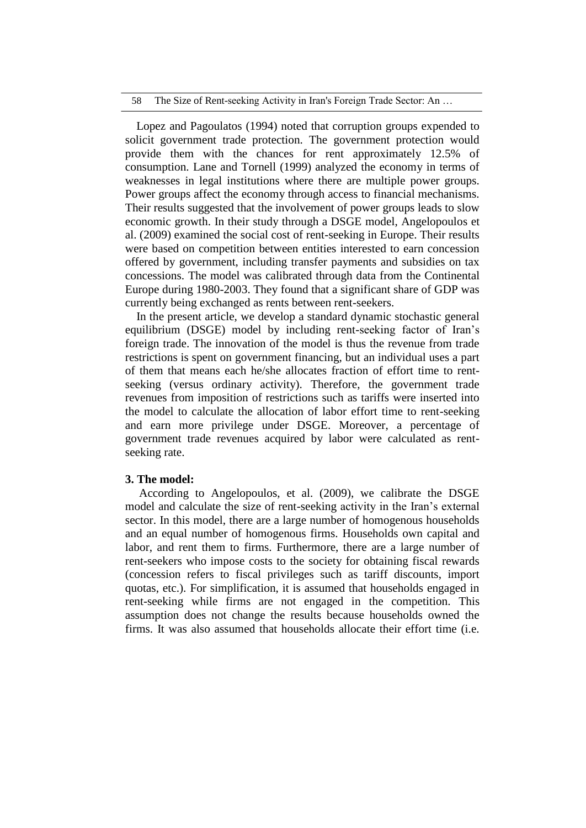#### 58 The Size of Rent-seeking Activity in Iran's Foreign Trade Sector: An …

Lopez and Pagoulatos (1994) noted that corruption groups expended to solicit government trade protection. The government protection would provide them with the chances for rent approximately 12.5% of consumption. Lane and Tornell (1999) analyzed the economy in terms of weaknesses in legal institutions where there are multiple power groups. Power groups affect the economy through access to financial mechanisms. Their results suggested that the involvement of power groups leads to slow economic growth. In their study through a DSGE model, Angelopoulos et al. (2009) examined the social cost of rent-seeking in Europe. Their results were based on competition between entities interested to earn concession offered by government, including transfer payments and subsidies on tax concessions. The model was calibrated through data from the Continental Europe during 1980-2003. They found that a significant share of GDP was currently being exchanged as rents between rent-seekers.

In the present article, we develop a standard dynamic stochastic general equilibrium (DSGE) model by including rent-seeking factor of Iran's foreign trade. The innovation of the model is thus the revenue from trade restrictions is spent on government financing, but an individual uses a part of them that means each he/she allocates fraction of effort time to rentseeking (versus ordinary activity). Therefore, the government trade revenues from imposition of restrictions such as tariffs were inserted into the model to calculate the allocation of labor effort time to rent-seeking and earn more privilege under DSGE. Moreover, a percentage of government trade revenues acquired by labor were calculated as rentseeking rate.

## **3. The model:**

According to Angelopoulos, et al. (2009), we calibrate the DSGE model and calculate the size of rent-seeking activity in the Iran's external sector. In this model, there are a large number of homogenous households and an equal number of homogenous firms. Households own capital and labor, and rent them to firms. Furthermore, there are a large number of rent-seekers who impose costs to the society for obtaining fiscal rewards (concession refers to fiscal privileges such as tariff discounts, import quotas, etc.). For simplification, it is assumed that households engaged in rent-seeking while firms are not engaged in the competition. This assumption does not change the results because households owned the firms. It was also assumed that households allocate their effort time (i.e.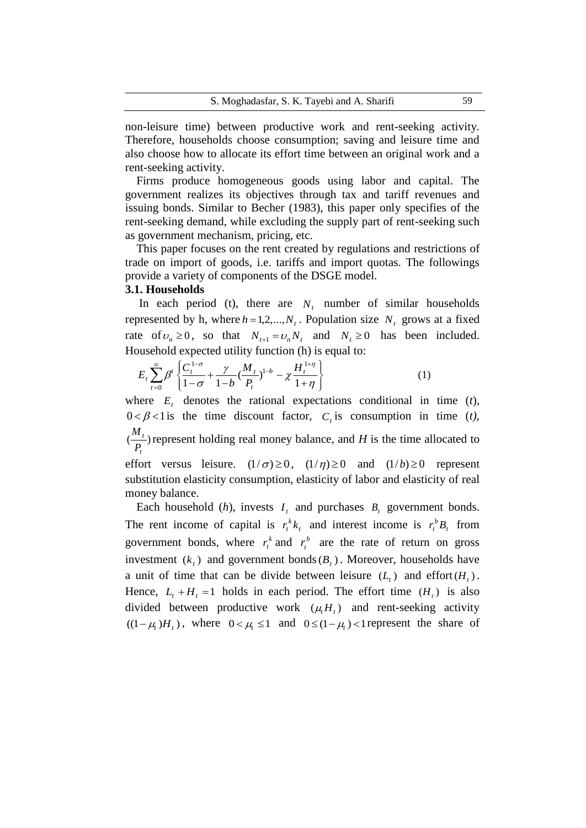non-leisure time) between productive work and rent-seeking activity. Therefore, households choose consumption; saving and leisure time and also choose how to allocate its effort time between an original work and a rent-seeking activity.

Firms produce homogeneous goods using labor and capital. The government realizes its objectives through tax and tariff revenues and issuing bonds. Similar to Becher (1983), this paper only specifies of the rent-seeking demand, while excluding the supply part of rent-seeking such as government mechanism, pricing, etc.

This paper focuses on the rent created by regulations and restrictions of trade on import of goods, i.e. tariffs and import quotas. The followings provide a variety of components of the DSGE model.

## **3.1. Households**

money balance.

In each period (t), there are  $N_t$  number of similar households represented by h, where  $h = 1, 2, ..., N_t$ . Population size  $N_t$  grows at a fixed rate of  $v_n \ge 0$ , so that  $N_{t+1} = v_n N_t$  and  $N_t \ge 0$  has been included.

Household expected utility function (h) is equal to:  
\n
$$
E_t \sum_{t=0}^{\infty} \beta^t \left\{ \frac{C_t^{1-\sigma}}{1-\sigma} + \frac{\gamma}{1-b} \left( \frac{M_t}{P_t} \right)^{1-b} - \chi \frac{H_t^{1+\eta}}{1+\eta} \right\}
$$
\n(1)

where  $E_t$  denotes the rational expectations conditional in time  $(t)$ ,  $0 < \beta < 1$  is the time discount factor,  $C<sub>t</sub>$  is consumption in time (*t*),  $\left(\frac{m}{n}\right)$ *t t P*  $\frac{M_t}{T}$ ) represent holding real money balance, and *H* is the time allocated to effort versus leisure.  $(1/\sigma) \ge 0$ ,  $(1/\eta) \ge 0$  and  $(1/b) \ge 0$  represent substitution elasticity consumption, elasticity of labor and elasticity of real

Each household  $(h)$ , invests  $I_t$  and purchases  $B_t$  government bonds. The rent income of capital is  $r_t^k k_t$  and interest income is  $r_t^b B_t$  from government bonds, where  $r_t^k$  and  $r_t^b$  $r_t^b$  are the rate of return on gross investment  $(k_t)$  and government bonds  $(B_t)$ . Moreover, households have a unit of time that can be divide between leisure  $(L_t)$  and effort  $(H_t)$ . Hence,  $L_t + H_t = 1$  holds in each period. The effort time  $(H_t)$  is also divided between productive work  $(\mu_t H_t)$  and rent-seeking activity  $((1 - \mu_t)H_t)$ , where  $0 < \mu_t \le 1$  and  $0 \le (1 - \mu_t) < 1$  represent the share of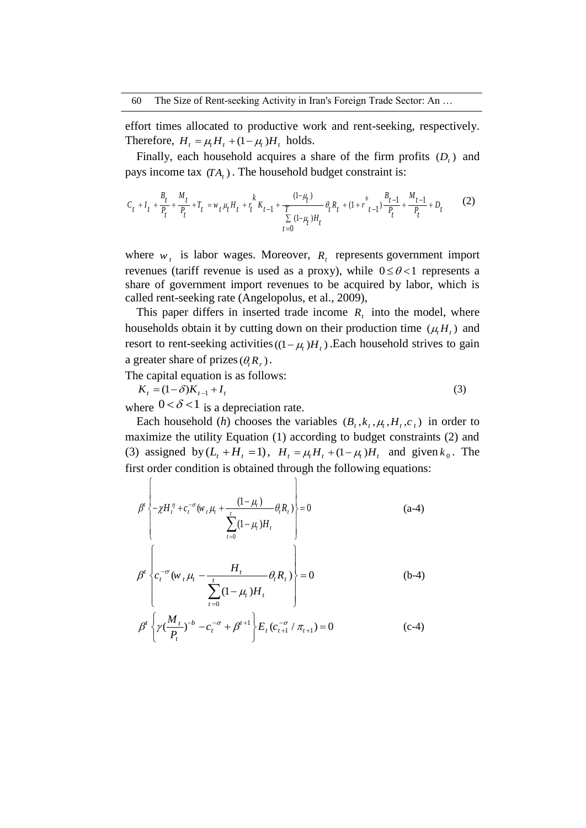effort times allocated to productive work and rent-seeking, respectively. Therefore,  $H_t = \mu_t H_t + (1 - \mu_t) H_t$  holds.

Finally, each household acquires a share of the firm profits  $(D_t)$  and

pays income tax 
$$
(TA_t)
$$
. The household budget constraint is:  
\n
$$
C_t + I_t + \frac{B_t}{P_t} + \frac{M_t}{P_t} + T_t = w_t \mu_t H_t + \frac{k}{T} K_{t-1} + \frac{(1-\mu_t)}{T} \theta_t R_t + (1+r \frac{b}{t-1}) \frac{B_{t-1}}{P_t} + \frac{M_{t-1}}{P_t} + D_t
$$
\n
$$
t = 0
$$
\n(2)

where  $w_t$  is labor wages. Moreover,  $R_t$  represents government import revenues (tariff revenue is used as a proxy), while  $0 \le \theta < 1$  represents a share of government import revenues to be acquired by labor, which is called rent-seeking rate (Angelopolus, et al., 2009),

This paper differs in inserted trade income  $R_t$  into the model, where households obtain it by cutting down on their production time  $(\mu_i H_i)$  and resort to rent-seeking activities  $((1 - \mu_t)H_t)$ . Each household strives to gain a greater share of prizes  $(\theta_i R_r)$ .

The capital equation is as follows:

$$
K_t = (1 - \delta)K_{t-1} + I_t
$$
\n(3)

where  $0 < \delta < 1$  is a depreciation rate.

Each household (*h*) chooses the variables  $(B_t, k_t, \mu_t, H_t, c_t)$  in order to maximize the utility Equation (1) according to budget constraints (2) and (3) assigned by  $(L_t + H_t = 1)$ ,  $H_t = \mu_t H_t + (1 - \mu_t)H_t$  and given  $k_0$ . The first order condition is obtained through the following equations:<br>  $[$ 

$$
\beta^{t} \left\{ -\chi H_{t}^{\eta} + c_{t}^{-\sigma} (w_{t} \mu_{t} + \frac{(1-\mu_{t})}{\sum_{t=0}^{t} (1-\mu_{t}) H_{t}} \theta_{t} R_{t}) \right\} = 0 \qquad (a-4)
$$
\n
$$
\beta^{t} \left\{ c_{t}^{-\sigma} (w_{t} \mu_{t} - \frac{H_{t}}{\sum_{t=0}^{t} (1-\mu_{t}) H_{t}} \theta_{t} R_{t}) \right\} = 0 \qquad (b-4)
$$
\n
$$
\beta^{t} \left\{ \gamma (\frac{M_{t}}{P_{t}})^{-b} - c_{t}^{-\sigma} + \beta^{t+1} \right\} E_{t} (c_{t+1}^{-\sigma} / \pi_{t+1}) = 0 \qquad (c-4)
$$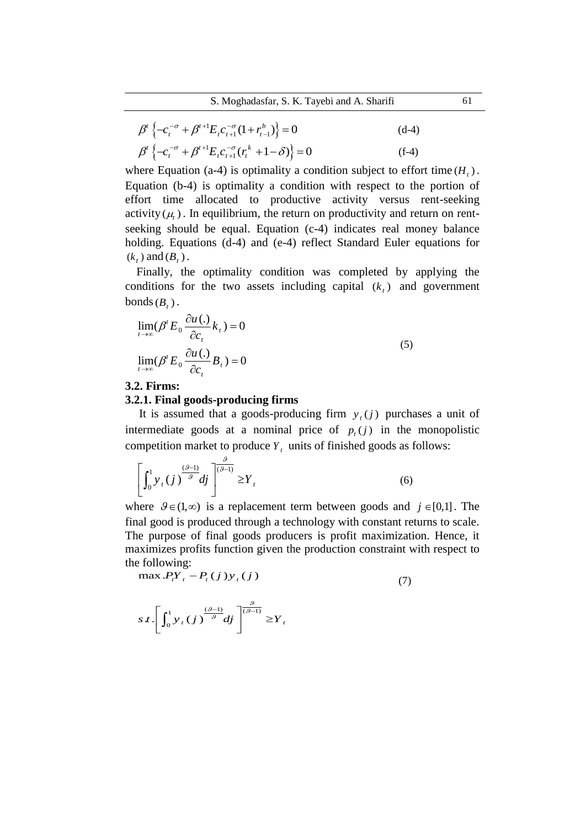S. Moghadasfar, S. K. Tayebi and A. Sharifi 61

$$
\beta^{t} \left\{ -c_{t}^{-\sigma} + \beta^{t+1} E_{t} c_{t+1}^{-\sigma} (1 + r_{t-1}^{b}) \right\} = 0
$$
\n
$$
\beta^{t} \left\{ -c_{t}^{-\sigma} + \beta^{t+1} E_{t} c_{t+1}^{-\sigma} (r_{t}^{k} + 1 - \delta) \right\} = 0
$$
\n(f-4)

where Equation (a-4) is optimality a condition subject to effort time  $(H_t)$ . Equation (b-4) is optimality a condition with respect to the portion of effort time allocated to productive activity versus rent-seeking activity  $(\mu_t)$ . In equilibrium, the return on productivity and return on rentseeking should be equal. Equation (c-4) indicates real money balance holding. Equations (d-4) and (e-4) reflect Standard Euler equations for  $(k_t)$  and  $(B_t)$ .

Finally, the optimality condition was completed by applying the conditions for the two assets including capital  $(k<sub>t</sub>)$  and government  $bonds(B_t)$ .

$$
\lim_{t \to \infty} (\beta' E_0 \frac{\partial u(.)}{\partial c_t} k_t) = 0
$$
\n
$$
\lim_{t \to \infty} (\beta' E_0 \frac{\partial u(.)}{\partial c_t} B_t) = 0
$$
\n(5)

## **3.2. Firms:**

#### **3.2.1. Final goods-producing firms**

It is assumed that a goods-producing firm  $y_i(j)$  purchases a unit of intermediate goods at a nominal price of  $p_t(j)$  in the monopolistic competition market to produce  $Y_t$  units of finished goods as follows:

$$
\left[\int_0^1 y_t(j)^{\frac{(\mathcal{G}-1)}{\mathcal{G}}} dj\right]^{\frac{\mathcal{G}}{(\mathcal{G}-1)}} \ge Y_t
$$
\n(6)

where  $\mathcal{G} \in (1, \infty)$  is a replacement term between goods and  $j \in [0,1]$ . The final good is produced through a technology with constant returns to scale. The purpose of final goods producers is profit maximization. Hence, it maximizes profits function given the production constraint with respect to the following:<br>  $\max P_i Y_i - P_i(j) y_i(j)$ 

$$
\max.P_t Y_t - P_t(j) y_t(j) \tag{7}
$$

$$
s \, t \cdot \left[ \int_0^1 y_t(j) \frac{(\vartheta - 1)}{\vartheta} dj \right]^{\frac{\vartheta}{(\vartheta - 1)}} \ge Y_t
$$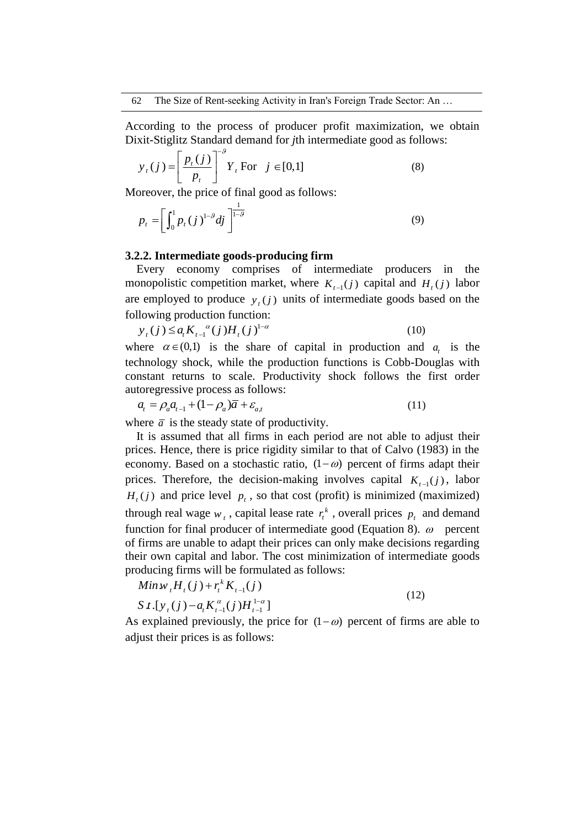According to the process of producer profit maximization, we obtain Dixit-Stiglitz Standard demand for *j*th intermediate good as follows:

$$
y_{t}(j) = \left[\frac{p_{t}(j)}{p_{t}}\right]^{-\theta} Y_{t} \text{ For } j \in [0,1]
$$
 (8)

Moreover, the price of final good as follows:

$$
p_{t} = \left[\int_{0}^{1} p_{t}(j)^{1-\theta} dj\right]^{\frac{1}{1-\theta}}
$$
\n(9)

## **3.2.2. Intermediate goods-producing firm**

Every economy comprises of intermediate producers in the monopolistic competition market, where  $K_{t-1}(j)$  capital and  $H_t(j)$  labor are employed to produce  $y_t(j)$  units of intermediate goods based on the following production function:<br> $y_t(j) \le a_t K_{t-1}^{\alpha}(j) H_t(j)^{1-\alpha}$ 

$$
y_{t}(j) \le a_{t} K_{t-1}^{a}(j) H_{t}(j)^{1-\alpha}
$$
\n(10)

where  $\alpha \in (0,1)$  is the share of capital in production and  $a_t$  is the technology shock, while the production functions is Cobb-Douglas with constant returns to scale. Productivity shock follows the first order autoregressive process as follows:<br> $a_t = \rho_a a_{t-1} + (1 - \rho_a) \overline{a} + \varepsilon_{a,t}$ 

$$
a_t = \rho_a a_{t-1} + (1 - \rho_a) \overline{a} + \varepsilon_{a,t} \tag{11}
$$

where  $\bar{a}$  is the steady state of productivity.

It is assumed that all firms in each period are not able to adjust their prices. Hence, there is price rigidity similar to that of Calvo (1983) in the economy. Based on a stochastic ratio,  $(1 - \omega)$  percent of firms adapt their prices. Therefore, the decision-making involves capital  $K_{t-1}(j)$ , labor  $H_t(j)$  and price level  $p_t$ , so that cost (profit) is minimized (maximized) through real wage  $w_t$ , capital lease rate  $r_t^k$ , overall prices  $p_t$  and demand function for final producer of intermediate good (Equation 8).  $\omega$  percent of firms are unable to adapt their prices can only make decisions regarding their own capital and labor. The cost minimization of intermediate goods

producing firms will be formulated as follows:  
\n
$$
Min w_t H_t(j) + r_t^k K_{t-1}(j)
$$
\n
$$
S t.[y_t(j) - a_t K_{t-1}^{\alpha}(j)H_{t-1}^{1-\alpha}]
$$
\n(12)

As explained previously, the price for  $(1 - \omega)$  percent of firms are able to adjust their prices is as follows: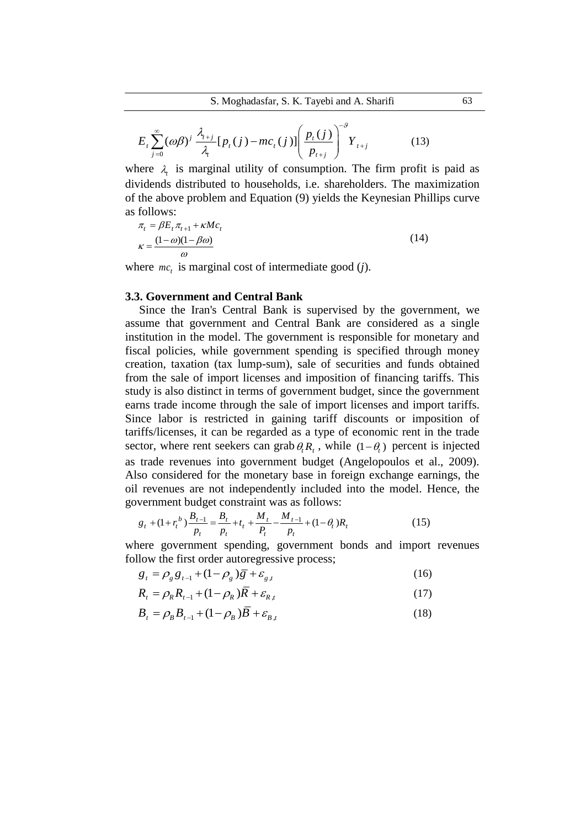$$
E_{t} \sum_{j=0}^{\infty} (\omega \beta)^{j} \frac{\lambda_{t+j}}{\lambda_{t}} [p_{t}(j) - mc_{t}(j)] \left( \frac{p_{t}(j)}{p_{t+j}} \right)^{-\theta} Y_{t+j}
$$
(13)

where  $\lambda_i$  is marginal utility of consumption. The firm profit is paid as dividends distributed to households, i.e. shareholders. The maximization of the above problem and Equation (9) yields the Keynesian Phillips curve as follows:

$$
\pi_t = \beta E_t \pi_{t+1} + \kappa M c_t
$$
  

$$
\kappa = \frac{(1 - \omega)(1 - \beta \omega)}{\omega}
$$
 (14)

where  $mc<sub>t</sub>$  is marginal cost of intermediate good (*j*).

## **3.3. Government and Central Bank**

Since the Iran's Central Bank is supervised by the government, we assume that government and Central Bank are considered as a single institution in the model. The government is responsible for monetary and fiscal policies, while government spending is specified through money creation, taxation (tax lump-sum), sale of securities and funds obtained from the sale of import licenses and imposition of financing tariffs. This study is also distinct in terms of government budget, since the government earns trade income through the sale of import licenses and import tariffs. Since labor is restricted in gaining tariff discounts or imposition of tariffs/licenses, it can be regarded as a type of economic rent in the trade sector, where rent seekers can grab  $\theta_t R_t$ , while  $(1 - \theta_t)$  percent is injected as trade revenues into government budget (Angelopoulos et al., 2009). Also considered for the monetary base in foreign exchange earnings, the oil revenues are not independently included into the model. Hence, the

government budget constraint was as follows:  
\n
$$
g_t + (1 + r_t^b) \frac{B_{t-1}}{p_t} = \frac{B_t}{p_t} + t_t + \frac{M_t}{P_t} - \frac{M_{t-1}}{p_t} + (1 - \theta_t)R_t
$$
\n(15)

where government spending, government bonds and import revenues follow the first order autoregressive process;<br>  $g_t = \rho_g g_{t-1} + (1 - \rho_g) \overline{g} + \varepsilon_{g,t}$ 

$$
g_t = \rho_g g_{t-1} + (1 - \rho_g) \overline{g} + \varepsilon_{g,t} \tag{16}
$$

$$
R_{t} = \rho_{R} R_{t-1} + (1 - \rho_{R}) \overline{R} + \varepsilon_{R,t}
$$
 (17)

$$
B_{t} = \rho_{B} B_{t-1} + (1 - \rho_{B}) \overline{B} + \varepsilon_{B,t}
$$
\n(18)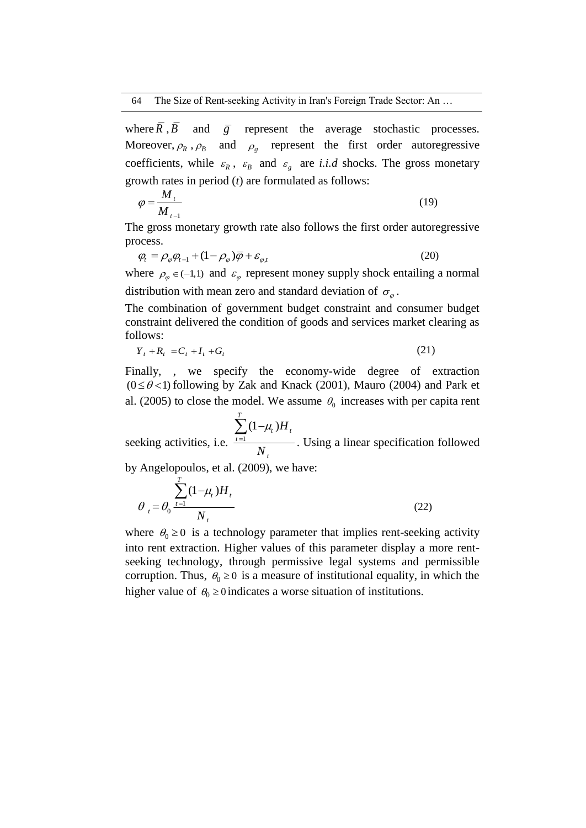where  $R$ ,  $B$  and  $\overline{g}$  represent the average stochastic processes. Moreover,  $\rho_R$ ,  $\rho_B$  and  $\rho_g$  represent the first order autoregressive coefficients, while  $\varepsilon_R$ ,  $\varepsilon_B$  and  $\varepsilon_g$  are *i.i.d* shocks. The gross monetary growth rates in period (*t*) are formulated as follows:

$$
\varphi = \frac{M_t}{M_{t-1}}
$$
\n(19)

The gross monetary growth rate also follows the first order autoregressive process.

$$
\varphi_t = \rho_\varphi \varphi_{t-1} + (1 - \rho_\varphi) \overline{\varphi} + \varepsilon_{\varphi, t}
$$
\n(20)

where  $\rho_{\varphi} \in (-1,1)$  and  $\varepsilon_{\varphi}$  represent money supply shock entailing a normal distribution with mean zero and standard deviation of  $\sigma_{\varphi}$ .

The combination of government budget constraint and consumer budget constraint delivered the condition of goods and services market clearing as follows:

$$
Y_t + R_t = C_t + I_t + G_t \tag{21}
$$

Finally, , we specify the economy-wide degree of extraction  $(0 \le \theta < 1)$  following by Zak and Knack (2001), Mauro (2004) and Park et al. (2005) to close the model. We assume  $\theta_0$  increases with per capita rent

seeking activities, i.e.  $t = 1$  $(1 - \mu)$ *T*  $t^{\mu}$ <sup> $\mu$ </sup> *t t H N*  $\mu$  $\sum_{t=1}^{ } (1 -$ . Using a linear specification followed

by Angelopoulos, et al. (2009), we have:

$$
\theta_{t} = \theta_{0} \frac{\sum_{t=1}^{T} (1 - \mu_{t}) H_{t}}{N_{t}}
$$
\n(22)

where  $\theta_0 \ge 0$  is a technology parameter that implies rent-seeking activity into rent extraction. Higher values of this parameter display a more rentseeking technology, through permissive legal systems and permissible corruption. Thus,  $\theta_0 \ge 0$  is a measure of institutional equality, in which the higher value of  $\theta_0 \ge 0$  indicates a worse situation of institutions.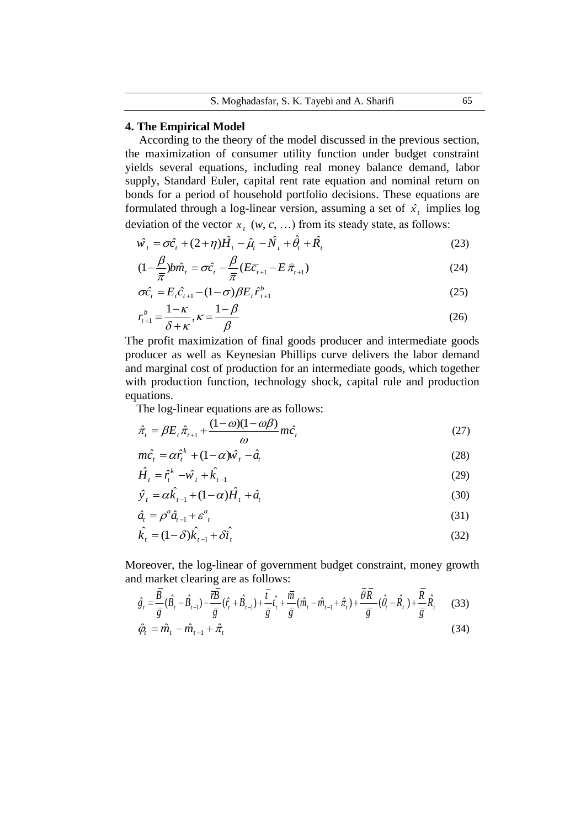## **4. The Empirical Model**

According to the theory of the model discussed in the previous section, the maximization of consumer utility function under budget constraint yields several equations, including real money balance demand, labor supply, Standard Euler, capital rent rate equation and nominal return on bonds for a period of household portfolio decisions. These equations are formulated through a log-linear version, assuming a set of  $\hat{x}_t$  implies log

deviation of the vector 
$$
x_t
$$
 ( $w$ ,  $c$ , ...) from its steady state, as follows:  
\n
$$
\hat{w_t} = \sigma \hat{c}_t + (2 + \eta) \hat{H}_t - \hat{\mu}_t - \hat{N}_t + \hat{\theta}_t + \hat{R}_t
$$
\n(23)

$$
\hat{w}_t = \sigma \hat{c}_t + (2+\eta)H_t - \hat{\mu}_t - N_t + \theta_t + R_t
$$
\n
$$
(1-\frac{\beta}{\pi})b\hat{m}_t = \sigma \hat{c}_t - \frac{\beta}{\pi}(E\bar{c}_{t+1} - E\bar{\pi}_{t+1})
$$
\n
$$
(24)
$$

$$
\pi \pi
$$
  
\n
$$
\sigma \hat{c}_t = E_t \hat{c}_{t+1} - (1 - \sigma) \beta E_t \hat{r}_{t+1}^b
$$
\n
$$
c_0
$$
\n
$$
c_1
$$
\n
$$
c_2
$$
\n
$$
c_3
$$
\n
$$
c_4
$$
\n
$$
c_5
$$
\n
$$
c_6
$$
\n
$$
c_7
$$
\n
$$
c_8
$$
\n
$$
c_9
$$
\n
$$
c_9
$$
\n
$$
c_9
$$
\n
$$
c_9
$$
\n
$$
c_9
$$
\n
$$
c_9
$$
\n
$$
c_9
$$

$$
r_{t+1}^b = \frac{1-\kappa}{\delta + \kappa}, \kappa = \frac{1-\beta}{\beta}
$$
 (26)

The profit maximization of final goods producer and intermediate goods producer as well as Keynesian Phillips curve delivers the labor demand and marginal cost of production for an intermediate goods, which together with production function, technology shock, capital rule and production equations.

The log-linear equations are as follows:  
\n
$$
\hat{\pi}_t = \beta E_t \hat{\pi}_{t+1} + \frac{(1-\omega)(1-\omega\beta)}{\omega} m \hat{c}_t
$$
\n(27)

$$
m\hat{c}_t = \alpha \hat{r}_t^k + (1 - \alpha)\hat{w}_t - \hat{a}_t
$$
\n(28)

$$
\hat{H}_t = \hat{r}_t^k - \hat{w}_t + \hat{k}_{t-1} \n\hat{y}_t = \alpha \hat{k}_{t-1} + (1 - \alpha) \hat{H}_t + \hat{a}_t
$$
\n(29)

$$
\hat{y}_t = \alpha \hat{k}_{t-1} + (1 - \alpha) \hat{H}_t + \hat{a}_t
$$
\n(30)

$$
\hat{a}_t = \rho^a \hat{a}_{t-1} + \varepsilon^a_{\ \ t} \tag{31}
$$

$$
\hat{k}_t = (1 - \delta)\hat{k}_{t-1} + \delta\hat{i}_t
$$
\n(32)

and market clearing are as follows:

Moreover, the log-linear of government budget constraint, money growth  
\nand market clearing are as follows:  
\n
$$
\hat{g}_t = \frac{\overline{B}}{\overline{g}} (\hat{B}_t - \hat{B}_{t-1}) - \frac{\overline{r} \overline{B}}{\overline{g}} (\hat{r}_t + \hat{B}_{t-1}) + \frac{\overline{t}}{\overline{g}} \hat{t}_t + \frac{\overline{m}}{\overline{g}} (\hat{m}_t - \hat{m}_{t-1} + \hat{\pi}_t) + \frac{\overline{\theta} \overline{R}}{\overline{g}} (\hat{\theta}_t - \hat{R}_t) + \frac{\overline{R}}{\overline{g}} \hat{R}_t
$$
\n(33)  
\n
$$
\hat{\varphi}_t = \hat{m}_t - \hat{m}_{t-1} + \hat{\pi}_t
$$
\n(34)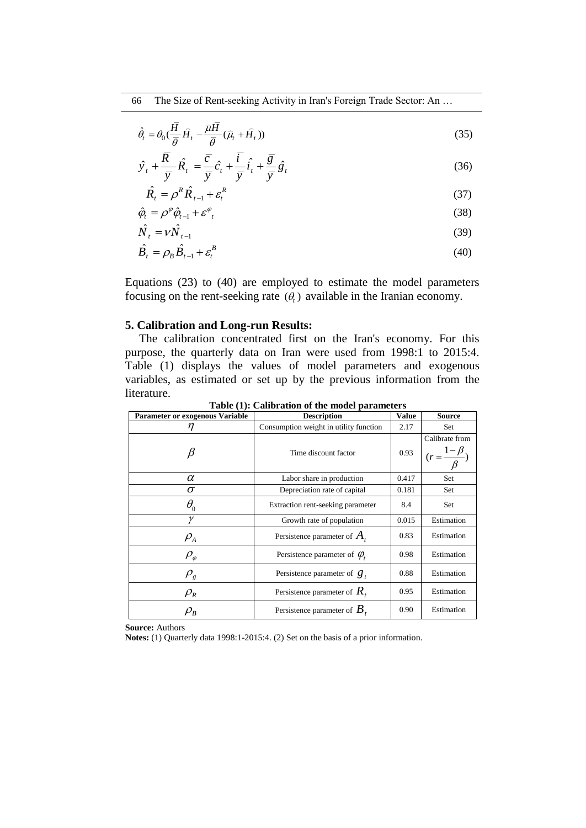66 The Size of Rent-seeking Activity in Iran's Foreign Trade Sector: An …

$$
\hat{\theta}_t = \theta_0 \left( \frac{\overline{H}}{\overline{\theta}} \hat{H}_t - \frac{\overline{\mu} \overline{H}}{\overline{\theta}} (\hat{\mu}_t + \hat{H}_t) \right)
$$
\n(35)

$$
\hat{y}_t + \frac{\overline{R}}{\overline{y}} \hat{R}_t = \frac{\overline{c}}{\overline{y}} \hat{c}_t + \frac{\overline{i}}{\overline{y}} \hat{i}_t + \frac{\overline{g}}{\overline{y}} \hat{g}_t
$$
\n(36)

$$
\hat{R}_t = \rho^R \hat{R}_{t-1} + \varepsilon_t^R
$$
\n(37)

$$
\hat{\varphi}_t = \rho^{\varphi} \hat{\varphi}_{t-1} + \varepsilon^{\varphi}_{t}
$$
\n(38)

$$
\hat{N}_t = \nu \hat{N}_{t-1} \tag{39}
$$

$$
\hat{B}_t = \rho_B \hat{B}_{t-1} + \varepsilon_t^B
$$
\n(40)

Equations (23) to (40) are employed to estimate the model parameters focusing on the rent-seeking rate  $(\theta_t)$  available in the Iranian economy.

## **5. Calibration and Long-run Results:**

The calibration concentrated first on the Iran's economy. For this purpose, the quarterly data on Iran were used from 1998:1 to 2015:4. Table (1) displays the values of model parameters and exogenous variables, as estimated or set up by the previous information from the literature.

| <b>Parameter or exogenous Variable</b> | Table (1). Cambration of the model parameters<br><b>Description</b> | <b>Value</b> | <b>Source</b>                                      |
|----------------------------------------|---------------------------------------------------------------------|--------------|----------------------------------------------------|
| n                                      | Consumption weight in utility function                              | 2.17         | Set                                                |
|                                        | Time discount factor                                                | 0.93         | Calibrate from<br>$(r = \frac{1-\beta}{\sqrt{2}})$ |
| $\alpha$                               | Labor share in production                                           | 0.417        | Set                                                |
| σ                                      | Depreciation rate of capital                                        | 0.181        | Set                                                |
| $\theta_{\scriptscriptstyle 0}$        | Extraction rent-seeking parameter                                   | 8.4          | Set                                                |
| γ                                      | Growth rate of population                                           | 0.015        | Estimation                                         |
| $\rho_{\!{}_A}$                        | Persistence parameter of $A_t$                                      | 0.83         | Estimation                                         |
| $\rho_{_\varphi}$                      | Persistence parameter of $\varphi$ .                                | 0.98         | Estimation                                         |
| $\rho_{_g}$                            | Persistence parameter of $g_t$                                      | 0.88         | Estimation                                         |
| $\rho_{\scriptscriptstyle R}^{}$       | Persistence parameter of $R_{t}$                                    | 0.95         | Estimation                                         |
| $\rho_{_B}$                            | Persistence parameter of $B_{\tau}$                                 | 0.90         | Estimation                                         |

**Table (1): Calibration of the model parameters**

**Source:** Authors

**Notes:** (1) Quarterly data 1998:1-2015:4. (2) Set on the basis of a prior information.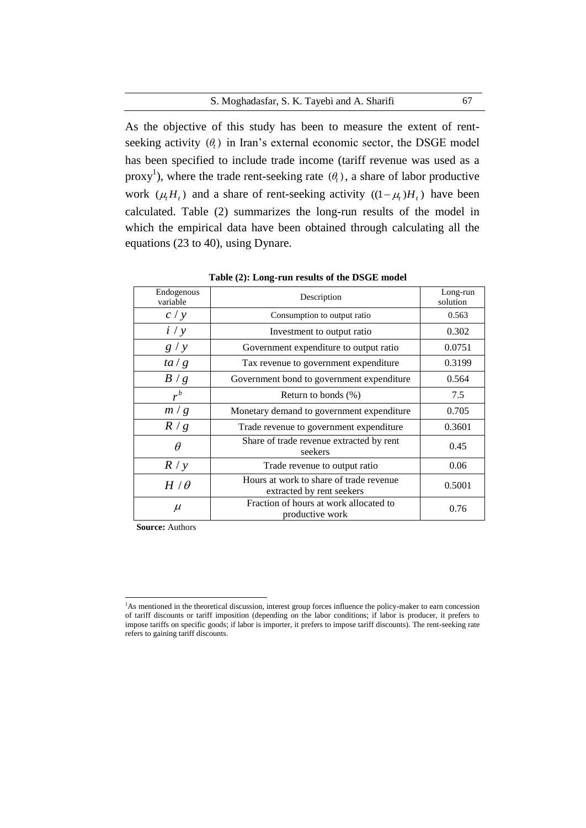#### S. Moghadasfar, S. K. Tayebi and A. Sharifi 67

As the objective of this study has been to measure the extent of rentseeking activity  $(\theta_t)$  in Iran's external economic sector, the DSGE model has been specified to include trade income (tariff revenue was used as a proxy<sup>1</sup>), where the trade rent-seeking rate  $(\theta_t)$ , a share of labor productive work  $(\mu_i H_i)$  and a share of rent-seeking activity  $((1 - \mu_i)H_i)$  have been calculated. Table (2) summarizes the long-run results of the model in which the empirical data have been obtained through calculating all the equations (23 to 40), using Dynare.

| Endogenous<br>variable | Description                                                          | Long-run<br>solution |
|------------------------|----------------------------------------------------------------------|----------------------|
| c / y                  | Consumption to output ratio                                          | 0.563                |
| i / y                  | Investment to output ratio                                           | 0.302                |
| g / y                  | Government expenditure to output ratio                               | 0.0751               |
| ta/g                   | Tax revenue to government expenditure                                | 0.3199               |
| B/g                    | Government bond to government expenditure                            | 0.564                |
| $r^b$                  | Return to bonds (%)                                                  | 7.5                  |
| m/g                    | Monetary demand to government expenditure                            | 0.705                |
| R/g                    | Trade revenue to government expenditure                              | 0.3601               |
| $\theta$               | Share of trade revenue extracted by rent<br>seekers                  | 0.45                 |
| R / y                  | Trade revenue to output ratio                                        | 0.06                 |
| $H/\theta$             | Hours at work to share of trade revenue<br>extracted by rent seekers | 0.5001               |
| $\mu$                  | Fraction of hours at work allocated to<br>productive work            | 0.76                 |

**Table (2): Long-run results of the DSGE model**

**Source:** Authors

 $\overline{a}$ 

<sup>&</sup>lt;sup>1</sup>As mentioned in the theoretical discussion, interest group forces influence the policy-maker to earn concession of tariff discounts or tariff imposition (depending on the labor conditions; if labor is producer, it prefers to impose tariffs on specific goods; if labor is importer, it prefers to impose tariff discounts). The rent-seeking rate refers to gaining tariff discounts.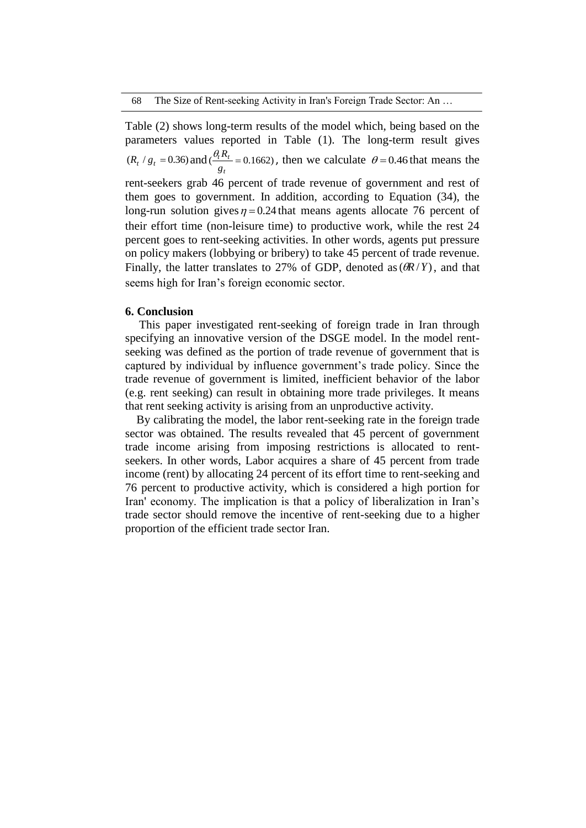Table (2) shows long-term results of the model which, being based on the parameters values reported in Table (1). The long-term result gives  $(R_t / g_t = 0.36)$  and  $(\frac{v_t R_t}{g_t} = 0.1662)$ *t R g*  $\frac{\theta_i R_t}{\theta}$  = 0.1662), then we calculate  $\theta$  = 0.46 that means the rent-seekers grab 46 percent of trade revenue of government and rest of them goes to government. In addition, according to Equation (34), the long-run solution gives  $\eta = 0.24$  that means agents allocate 76 percent of their effort time (non-leisure time) to productive work, while the rest 24 percent goes to rent-seeking activities. In other words, agents put pressure on policy makers (lobbying or bribery) to take 45 percent of trade revenue. Finally, the latter translates to 27% of GDP, denoted as  $(\partial R/Y)$ , and that seems high for Iran's foreign economic sector.

#### **6. Conclusion**

This paper investigated rent-seeking of foreign trade in Iran through specifying an innovative version of the DSGE model. In the model rentseeking was defined as the portion of trade revenue of government that is captured by individual by influence government's trade policy. Since the trade revenue of government is limited, inefficient behavior of the labor (e.g. rent seeking) can result in obtaining more trade privileges. It means that rent seeking activity is arising from an unproductive activity.

By calibrating the model, the labor rent-seeking rate in the foreign trade sector was obtained. The results revealed that 45 percent of government trade income arising from imposing restrictions is allocated to rentseekers. In other words, Labor acquires a share of 45 percent from trade income (rent) by allocating 24 percent of its effort time to rent-seeking and 76 percent to productive activity, which is considered a high portion for Iran' economy. The implication is that a policy of liberalization in Iran's trade sector should remove the incentive of rent-seeking due to a higher proportion of the efficient trade sector Iran.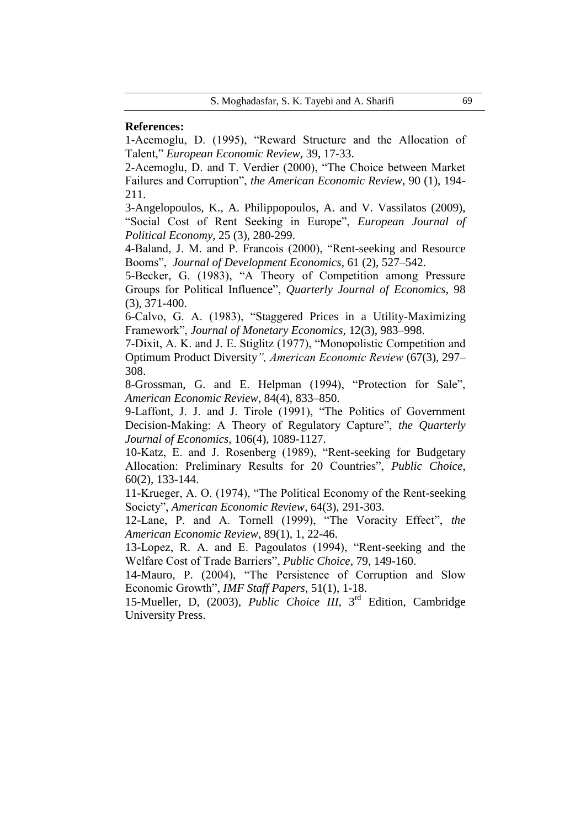### **References:**

1-Acemoglu, D. (1995), "Reward Structure and the Allocation of Talent," *European Economic Review,* 39, 17-33.

2-Acemoglu, D. and T. Verdier (2000), "The Choice between Market Failures and Corruption", *the American Economic Review*, 90 (1), 194- 211.

3-Angelopoulos, K., A. Philippopoulos, A. and V. Vassilatos (2009), "Social Cost of Rent Seeking in Europe", *European Journal of Political Economy,* 25 (3), 280-299.

4-Baland, J. M. and P. Francois (2000), "Rent-seeking and Resource Booms", *Journal of Development Economics*, 61 (2), 527–542.

5-Becker, G. (1983), "A Theory of Competition among Pressure Groups for Political Influence", *Quarterly Journal of Economics*, 98 (3), 371-400.

6-Calvo, G. A. (1983), "Staggered Prices in a Utility-Maximizing Framework", *Journal of Monetary Economics,* 12(3), 983–998.

7-Dixit, A. K. and J. E. Stiglitz (1977), "Monopolistic Competition and Optimum Product Diversity*", American Economic Review* (67(3), 297– 308.

8-Grossman, G. and E. Helpman (1994), "Protection for Sale", *American Economic Review*, 84(4), 833–850.

9-Laffont, J. J. and J. Tirole (1991), "The Politics of Government Decision-Making: A Theory of Regulatory Capture", *the Quarterly Journal of Economics,* 106(4), 1089-1127.

10-Katz, E. and J. Rosenberg (1989), "Rent-seeking for Budgetary Allocation: Preliminary Results for 20 Countries", *Public Choice*, 60(2), 133-144.

11-Krueger, A. O. (1974), "The Political Economy of the Rent-seeking Society", *American Economic Review*, 64(3), 291-303.

12-Lane, P. and A. Tornell (1999), "The Voracity Effect", *the American Economic Review*, 89(1), 1, 22-46.

13-Lopez, R. A. and E. Pagoulatos (1994), "Rent-seeking and the Welfare Cost of Trade Barriers", *Public Choice*, 79, 149-160.

14-Mauro, P. (2004), "The Persistence of Corruption and Slow Economic Growth", *IMF Staff Papers*, 51(1), 1-18.

15-Mueller, D, (2003), *Public Choice III*, 3rd Edition, Cambridge University Press.